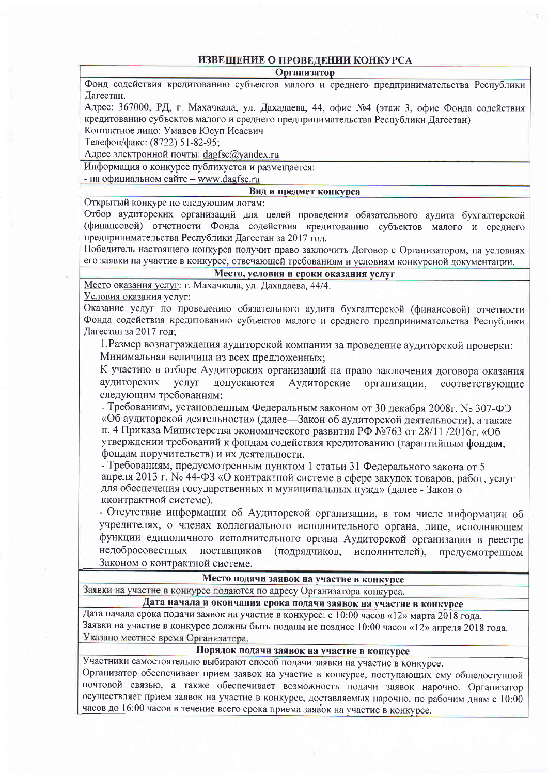## ИЗВЕШЕНИЕ О ПРОВЕЛЕНИИ КОНКУРСА

**Организатор** 

Фонд содействия кредитованию субъектов малого и среднего предпринимательства Республики Дагестан.

Адрес: 367000, РД, г. Махачкала, ул. Дахадаева, 44, офис №4 (этаж 3, офис Фонла солействия кредитованию субъектов малого и среднего предпринимательства Республики Дагестан)

Контактное лицо: Умавов Юсуп Исаевич

Телефон/факс: (8722) 51-82-95:

Адрес электронной почты: dagfsc@yandex.ru

Информация о конкурсе публикуется и размешается:

- на официальном сайте - www.dagfsc.ru

Вид и предмет конкурса

Открытый конкурс по следующим лотам:

Отбор аудиторских организаций для целей проведения обязательного аудита бухгалтерской (финансовой) отчетности Фонда содействия кредитованию субъектов малого и среднего предпринимательства Республики Дагестан за 2017 год.

Победитель настоящего конкурса получит право заключить Договор с Организатором, на условиях его заявки на участие в конкурсе, отвечающей требованиям и условиям конкурсной локументации.

## Место, условия и сроки оказания услуг

Место оказания услуг: г. Махачкала, ул. Дахадаева, 44/4.

Условия оказания услуг:

Оказание услуг по проведению обязательного аудита бухгалтерской (финансовой) отчетности Фонда содействия кредитованию субъектов малого и среднего предпринимательства Республики Дагестан за 2017 год;

1. Размер вознаграждения аудиторской компании за проведение аудиторской проверки: Минимальная величина из всех предложенных;

К участию в отборе Аудиторских организаций на право заключения договора оказания услуг допускаются Аудиторские аудиторских организации, соответствующие следующим требованиям:

- Требованиям, установленным Федеральным законом от 30 декабря 2008г. No 307-ФЭ «Об аудиторской деятельности» (далее—Закон об аудиторской деятельности), а также п. 4 Приказа Министерства экономического развития РФ №763 от 28/11 /2016г. «Об утверждении требований к фондам содействия кредитованию (гарантийным фондам, фондам поручительств) и их деятельности.

- Требованиям, предусмотренным пунктом 1 статьи 31 Федерального закона от 5 апреля 2013 г. No 44-ФЗ «О контрактной системе в сфере закупок товаров, работ, услуг для обеспечения государственных и муниципальных нужд» (далее - Закон о кконтрактной системе).

- Отсутствие информации об Аудиторской организации, в том числе информации об учредителях, о членах коллегиального исполнительного органа, лице, исполняющем функции единоличного исполнительного органа Аудиторской организации в реестре недобросовестных поставщиков (подрядчиков, исполнителей), предусмотренном Законом о контрактной системе.

Место подачи заявок на участие в конкурсе

Заявки на участие в конкурсе подаются по адресу Организатора конкурса.

## Дата начала и окончания срока подачи заявок на участие в конкурсе

Дата начала срока подачи заявок на участие в конкурсе: с 10:00 часов «12» марта 2018 года. Заявки на участие в конкурсе должны быть поданы не позднее 10:00 часов «12» апреля 2018 года. Указано местное время Организатора.

## Порядок подачи заявок на участие в конкурсе

Участники самостоятельно выбирают способ подачи заявки на участие в конкурсе.

Организатор обеспечивает прием заявок на участие в конкурсе, поступающих ему общедоступной почтовой связью, а также обеспечивает возможность подачи заявок нарочно. Организатор осуществляет прием заявок на участие в конкурсе, доставляемых нарочно, по рабочим дням с 10:00 часов до 16:00 часов в течение всего срока приема заявок на участие в конкурсе.